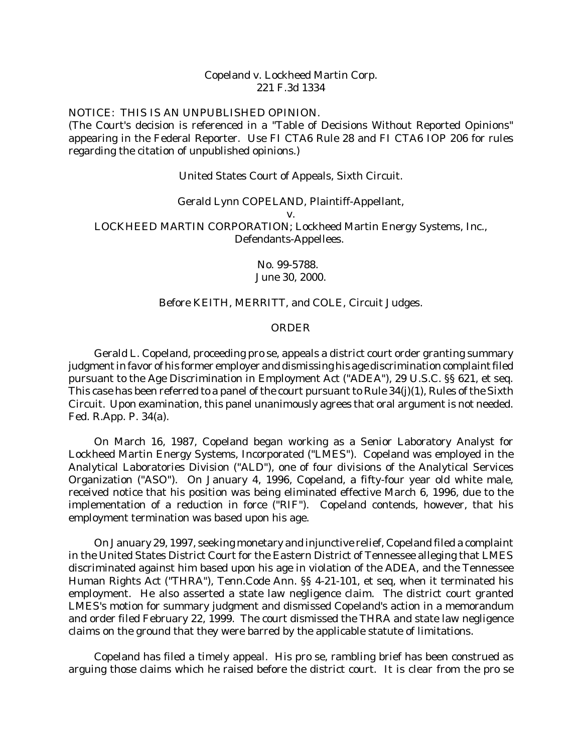## Copeland v. Lockheed Martin Corp. 221 F.3d 1334

## NOTICE: THIS IS AN UNPUBLISHED OPINION.

(The Court's decision is referenced in a "Table of Decisions Without Reported Opinions" appearing in the Federal Reporter. Use FI CTA6 Rule 28 and FI CTA6 IOP 206 for rules regarding the citation of unpublished opinions.)

#### United States Court of Appeals, Sixth Circuit.

#### Gerald Lynn COPELAND, Plaintiff-Appellant,

v.

LOCKHEED MARTIN CORPORATION; Lockheed Martin Energy Systems, Inc., Defendants-Appellees.

> No. 99-5788. June 30, 2000.

# Before KEITH, MERRITT, and COLE, Circuit Judges.

## *ORDER*

Gerald L. Copeland, proceeding pro se, appeals a district court order granting summary judgment in favor of his former employer and dismissing his age discrimination complaint filed pursuant to the Age Discrimination in Employment Act ("ADEA"), 29 U.S.C. §§ 621, et seq. This case has been referred to a panel of the court pursuant to Rule 34(j)(1), Rules of the Sixth Circuit. Upon examination, this panel unanimously agrees that oral argument is not needed. Fed. R.App. P. 34(a).

On March 16, 1987, Copeland began working as a Senior Laboratory Analyst for Lockheed Martin Energy Systems, Incorporated ("LMES"). Copeland was employed in the Analytical Laboratories Division ("ALD"), one of four divisions of the Analytical Services Organization ("ASO"). On January 4, 1996, Copeland, a fifty-four year old white male, received notice that his position was being eliminated effective March 6, 1996, due to the implementation of a reduction in force ("RIF"). Copeland contends, however, that his employment termination was based upon his age.

On January 29, 1997, seeking monetary and injunctive relief, Copeland filed a complaint in the United States District Court for the Eastern District of Tennessee alleging that LMES discriminated against him based upon his age in violation of the ADEA, and the Tennessee Human Rights Act ("THRA"), Tenn.Code Ann. §§ 4-21-101, et seq, when it terminated his employment. He also asserted a state law negligence claim. The district court granted LMES's motion for summary judgment and dismissed Copeland's action in a memorandum and order filed February 22, 1999. The court dismissed the THRA and state law negligence claims on the ground that they were barred by the applicable statute of limitations.

Copeland has filed a timely appeal. His pro se, rambling brief has been construed as arguing those claims which he raised before the district court. It is clear from the pro se